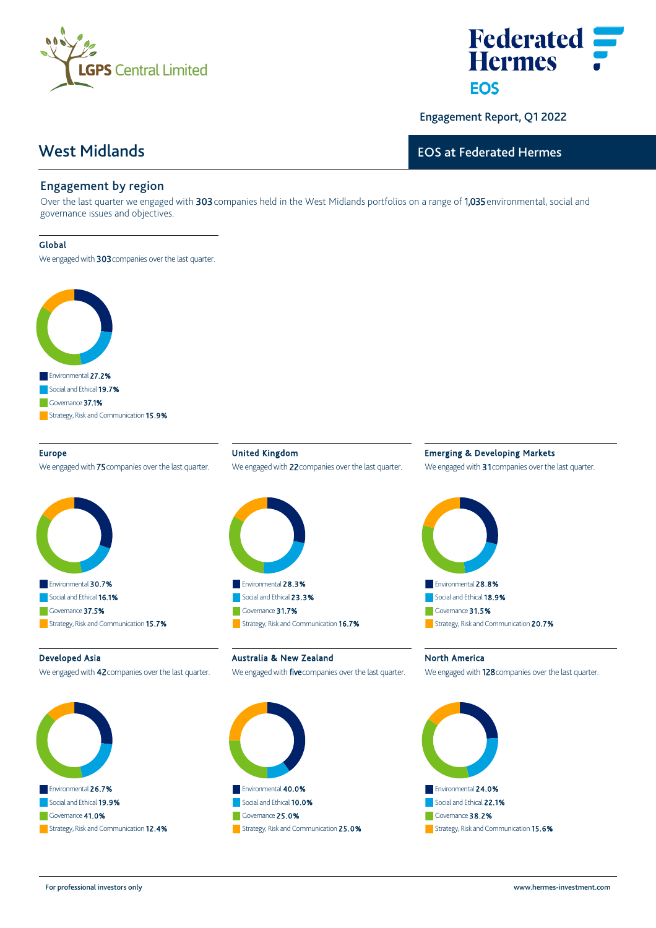



Engagement Report, Q1 2022

# West Midlands

# EOS at Federated Hermes

## Engagement by region

Over the last quarter we engaged with 303 companies held in the West Midlands portfolios on a range of 1,035 environmental, social and governance issues and objectives.

#### Global

We engaged with 303 companies over the last quarter.



#### Europe

We engaged with **75** companies over the last quarter.



United Kingdom We engaged with 22 companies over the last quarter.



### Emerging & Developing Markets

We engaged with 31 companies over the last quarter.



#### Developed Asia

We engaged with 42 companies over the last quarter.



Australia & New Zealand

#### We engaged with **five** companies over the last quarter.



North America

We engaged with 128 companies over the last quarter.